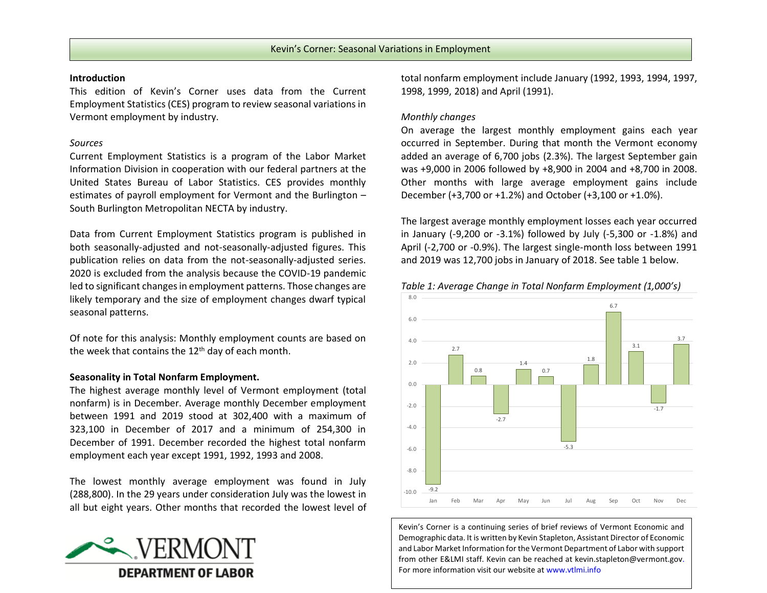#### **Introduction**

This edition of Kevin's Corner uses data from the Current Employment Statistics (CES) program to review seasonal variations in Vermont employment by industry.

# *Sources*

Current Employment Statistics is a program of the Labor Market Information Division in cooperation with our federal partners at the United States Bureau of Labor Statistics. CES provides monthly estimates of payroll employment for Vermont and the Burlington – South Burlington Metropolitan NECTA by industry.

Data from Current Employment Statistics program is published in both seasonally-adjusted and not-seasonally-adjusted figures. This publication relies on data from the not-seasonally-adjusted series. 2020 is excluded from the analysis because the COVID-19 pandemic led to significant changes in employment patterns. Those changes are likely temporary and the size of employment changes dwarf typical seasonal patterns.

Of note for this analysis: Monthly employment counts are based on the week that contains the 12<sup>th</sup> day of each month.

## **Seasonality in Total Nonfarm Employment.**

The highest average monthly level of Vermont employment (total nonfarm) is in December. Average monthly December employment between 1991 and 2019 stood at 302,400 with a maximum of 323,100 in December of 2017 and a minimum of 254,300 in December of 1991. December recorded the highest total nonfarm employment each year except 1991, 1992, 1993 and 2008.

The lowest monthly average employment was found in July (288,800). In the 29 years under consideration July was the lowest in all but eight years. Other months that recorded the lowest level of



total nonfarm employment include January (1992, 1993, 1994, 1997, 1998, 1999, 2018) and April (1991).

# *Monthly changes*

On average the largest monthly employment gains each year occurred in September. During that month the Vermont economy added an average of 6,700 jobs (2.3%). The largest September gain was +9,000 in 2006 followed by +8,900 in 2004 and +8,700 in 2008. Other months with large average employment gains include December (+3,700 or +1.2%) and October (+3,100 or +1.0%).

The largest average monthly employment losses each year occurred in January (-9,200 or -3.1%) followed by July (-5,300 or -1.8%) and April (-2,700 or -0.9%). The largest single-month loss between 1991 and 2019 was 12,700 jobs in January of 2018. See table 1 below.





Kevin's Corner is a continuing series of brief reviews of Vermont Economic and Demographic data. It is written by Kevin Stapleton, Assistant Director of Economic and Labor Market Information for the Vermont Department of Labor with support from other E&LMI staff. Kevin can be reached a[t kevin.stapleton@vermont.gov.](mailto:kevin.stapleton@vermont.gov) For more information visit our website at www.vtlmi.info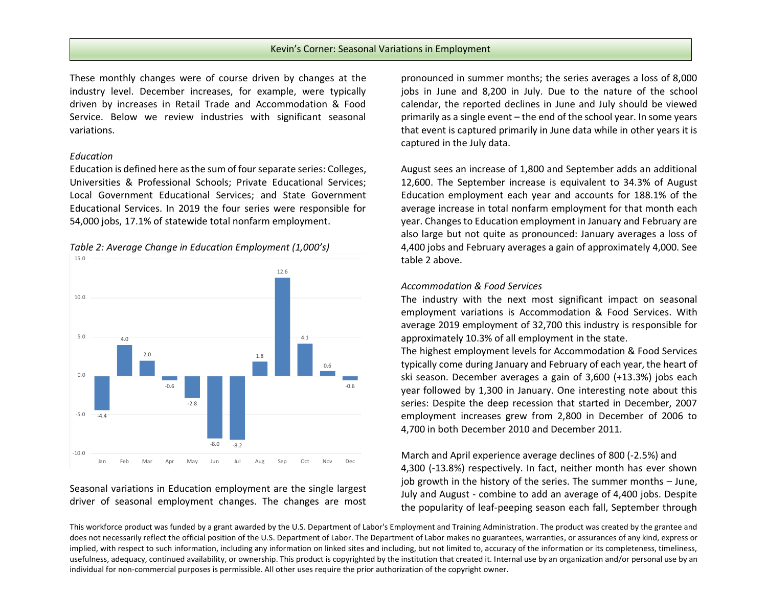# Kevin's Corner: Seasonal Variations in Employment

These monthly changes were of course driven by changes at the industry level. December increases, for example, were typically driven by increases in Retail Trade and Accommodation & Food Service. Below we review industries with significant seasonal variations.

#### *Education*

Education is defined here as the sum of four separate series: Colleges, Universities & Professional Schools; Private Educational Services; Local Government Educational Services; and State Government Educational Services. In 2019 the four series were responsible for 54,000 jobs, 17.1% of statewide total nonfarm employment.



*Table 2: Average Change in Education Employment (1,000's)*

Seasonal variations in Education employment are the single largest driver of seasonal employment changes. The changes are most

pronounced in summer months; the series averages a loss of 8,000 jobs in June and 8,200 in July. Due to the nature of the school calendar, the reported declines in June and July should be viewed primarily as a single event – the end of the school year. In some years that event is captured primarily in June data while in other years it is captured in the July data.

August sees an increase of 1,800 and September adds an additional 12,600. The September increase is equivalent to 34.3% of August Education employment each year and accounts for 188.1% of the average increase in total nonfarm employment for that month each year. Changes to Education employment in January and February are also large but not quite as pronounced: January averages a loss of 4,400 jobs and February averages a gain of approximately 4,000. See table 2 above.

### *Accommodation & Food Services*

The industry with the next most significant impact on seasonal employment variations is Accommodation & Food Services. With average 2019 employment of 32,700 this industry is responsible for approximately 10.3% of all employment in the state.

The highest employment levels for Accommodation & Food Services typically come during January and February of each year, the heart of ski season. December averages a gain of 3,600 (+13.3%) jobs each year followed by 1,300 in January. One interesting note about this series: Despite the deep recession that started in December, 2007 employment increases grew from 2,800 in December of 2006 to 4,700 in both December 2010 and December 2011.

March and April experience average declines of 800 (-2.5%) and 4,300 (-13.8%) respectively. In fact, neither month has ever shown job growth in the history of the series. The summer months – June, July and August - combine to add an average of 4,400 jobs. Despite the popularity of leaf-peeping season each fall, September through

This workforce product was funded by a grant awarded by the U.S. Department of Labor's Employment and Training Administration. The product was created by the grantee and does not necessarily reflect the official position of the U.S. Department of Labor. The Department of Labor makes no guarantees, warranties, or assurances of any kind, express or implied, with respect to such information, including any information on linked sites and including, but not limited to, accuracy of the information or its completeness, timeliness, usefulness, adequacy, continued availability, or ownership. This product is copyrighted by the institution that created it. Internal use by an organization and/or personal use by an individual for non-commercial purposes is permissible. All other uses require the prior authorization of the copyright owner.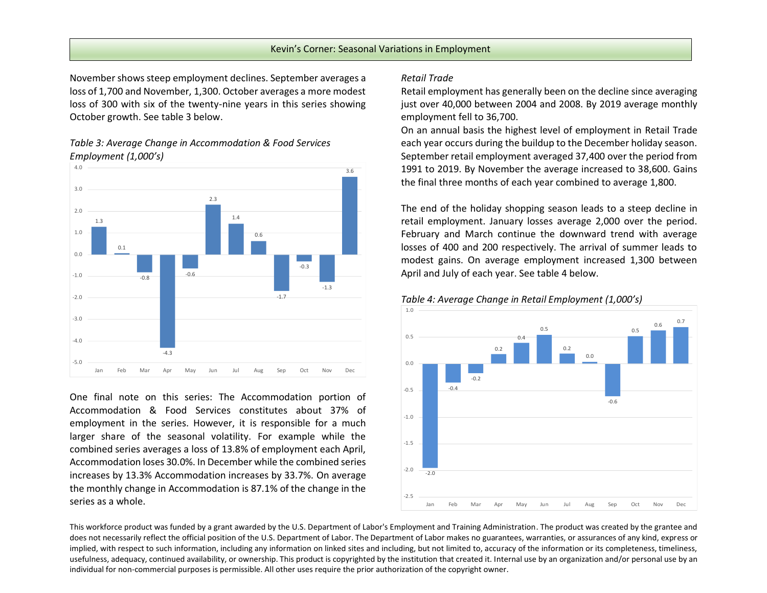### Kevin's Corner: Seasonal Variations in Employment

November shows steep employment declines. September averages a loss of 1,700 and November, 1,300. October averages a more modest loss of 300 with six of the twenty-nine years in this series showing October growth. See table 3 below.

# *Table 3: Average Change in Accommodation & Food Services Employment (1,000's)*



One final note on this series: The Accommodation portion of Accommodation & Food Services constitutes about 37% of employment in the series. However, it is responsible for a much larger share of the seasonal volatility. For example while the combined series averages a loss of 13.8% of employment each April, Accommodation loses 30.0%. In December while the combined series increases by 13.3% Accommodation increases by 33.7%. On average the monthly change in Accommodation is 87.1% of the change in the series as a whole.

## *Retail Trade*

Retail employment has generally been on the decline since averaging just over 40,000 between 2004 and 2008. By 2019 average monthly employment fell to 36,700.

On an annual basis the highest level of employment in Retail Trade each year occurs during the buildup to the December holiday season. September retail employment averaged 37,400 over the period from 1991 to 2019. By November the average increased to 38,600. Gains the final three months of each year combined to average 1,800.

The end of the holiday shopping season leads to a steep decline in retail employment. January losses average 2,000 over the period. February and March continue the downward trend with average losses of 400 and 200 respectively. The arrival of summer leads to modest gains. On average employment increased 1,300 between April and July of each year. See table 4 below.



#### *Table 4: Average Change in Retail Employment (1,000's)*

This workforce product was funded by a grant awarded by the U.S. Department of Labor's Employment and Training Administration. The product was created by the grantee and does not necessarily reflect the official position of the U.S. Department of Labor. The Department of Labor makes no guarantees, warranties, or assurances of any kind, express or implied, with respect to such information, including any information on linked sites and including, but not limited to, accuracy of the information or its completeness, timeliness, usefulness, adequacy, continued availability, or ownership. This product is copyrighted by the institution that created it. Internal use by an organization and/or personal use by an individual for non-commercial purposes is permissible. All other uses require the prior authorization of the copyright owner.